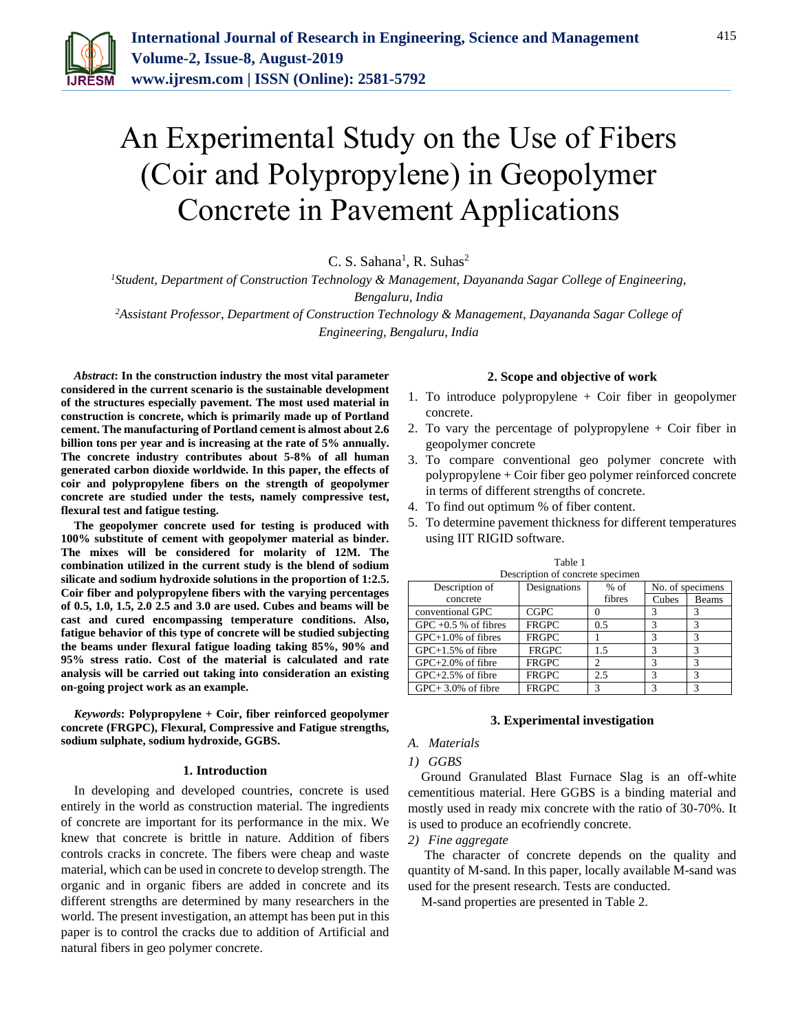

# An Experimental Study on the Use of Fibers (Coir and Polypropylene) in Geopolymer Concrete in Pavement Applications

 $C. S. Sahana<sup>1</sup>, R. Suhas<sup>2</sup>$ 

*<sup>1</sup>Student, Department of Construction Technology & Management, Dayananda Sagar College of Engineering, Bengaluru, India*

*<sup>2</sup>Assistant Professor, Department of Construction Technology & Management, Dayananda Sagar College of Engineering, Bengaluru, India*

*Abstract***: In the construction industry the most vital parameter considered in the current scenario is the sustainable development of the structures especially pavement. The most used material in construction is concrete, which is primarily made up of Portland cement. The manufacturing of Portland cement is almost about 2.6 billion tons per year and is increasing at the rate of 5% annually. The concrete industry contributes about 5-8% of all human generated carbon dioxide worldwide. In this paper, the effects of coir and polypropylene fibers on the strength of geopolymer concrete are studied under the tests, namely compressive test, flexural test and fatigue testing.**

**The geopolymer concrete used for testing is produced with 100% substitute of cement with geopolymer material as binder. The mixes will be considered for molarity of 12M. The combination utilized in the current study is the blend of sodium silicate and sodium hydroxide solutions in the proportion of 1:2.5. Coir fiber and polypropylene fibers with the varying percentages of 0.5, 1.0, 1.5, 2.0 2.5 and 3.0 are used. Cubes and beams will be cast and cured encompassing temperature conditions. Also, fatigue behavior of this type of concrete will be studied subjecting the beams under flexural fatigue loading taking 85%, 90% and 95% stress ratio. Cost of the material is calculated and rate analysis will be carried out taking into consideration an existing on-going project work as an example.**

*Keywords***: Polypropylene + Coir, fiber reinforced geopolymer concrete (FRGPC), Flexural, Compressive and Fatigue strengths, sodium sulphate, sodium hydroxide, GGBS.**

## **1. Introduction**

In developing and developed countries, concrete is used entirely in the world as construction material. The ingredients of concrete are important for its performance in the mix. We knew that concrete is brittle in nature. Addition of fibers controls cracks in concrete. The fibers were cheap and waste material, which can be used in concrete to develop strength. The organic and in organic fibers are added in concrete and its different strengths are determined by many researchers in the world. The present investigation, an attempt has been put in this paper is to control the cracks due to addition of Artificial and natural fibers in geo polymer concrete.

## **2. Scope and objective of work**

- 1. To introduce polypropylene + Coir fiber in geopolymer concrete.
- 2. To vary the percentage of polypropylene + Coir fiber in geopolymer concrete
- 3. To compare conventional geo polymer concrete with polypropylene + Coir fiber geo polymer reinforced concrete in terms of different strengths of concrete.
- 4. To find out optimum % of fiber content.
- 5. To determine pavement thickness for different temperatures using IIT RIGID software.

| Description of concrete specimen |              |        |                  |       |  |  |  |
|----------------------------------|--------------|--------|------------------|-------|--|--|--|
| Description of                   | Designations | $%$ of | No. of specimens |       |  |  |  |
| concrete                         |              | fibres | Cubes            | Beams |  |  |  |
| conventional GPC                 | <b>CGPC</b>  |        | 3                | 3     |  |  |  |
| GPC $+0.5$ % of fibres           | <b>FRGPC</b> | 0.5    | 3                | 3     |  |  |  |
| $GPC+1.0\%$ of fibres            | <b>FRGPC</b> |        | 3                | 3     |  |  |  |
| $GPC+1.5%$ of fibre              | <b>FRGPC</b> | 1.5    | 2                | 3     |  |  |  |
| $GPC+2.0\%$ of fibre             | <b>FRGPC</b> |        | 3                | 3     |  |  |  |
| $GPC+2.5%$ of fibre              | <b>FRGPC</b> | 2.5    | 3                | 3     |  |  |  |
| $GPC+3.0\%$ of fibre             | <b>FRGPC</b> | 3      | 2                | 3     |  |  |  |

Table 1

#### **3. Experimental investigation**

#### *A. Materials*

### *1) GGBS*

Ground Granulated Blast Furnace Slag is an off-white cementitious material. Here GGBS is a binding material and mostly used in ready mix concrete with the ratio of 30-70%. It is used to produce an ecofriendly concrete.

*2) Fine aggregate*

The character of concrete depends on the quality and quantity of M-sand. In this paper, locally available M-sand was used for the present research. Tests are conducted.

M-sand properties are presented in Table 2.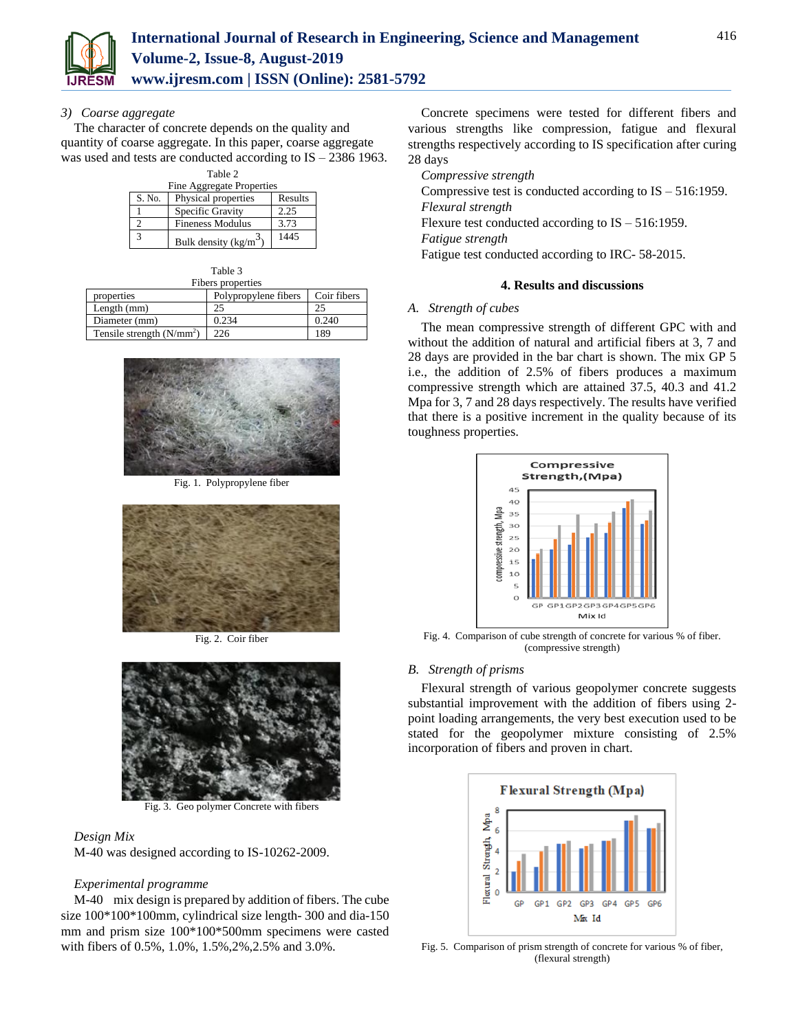

## *3) Coarse aggregate*

The character of concrete depends on the quality and quantity of coarse aggregate. In this paper, coarse aggregate was used and tests are conducted according to IS – 2386 1963.

| Table 2                   |                         |         |  |  |  |
|---------------------------|-------------------------|---------|--|--|--|
| Fine Aggregate Properties |                         |         |  |  |  |
| S. No.                    | Physical properties     | Results |  |  |  |
|                           | Specific Gravity        | 2.25    |  |  |  |
|                           | <b>Fineness Modulus</b> | 3.73    |  |  |  |
| 3                         | Bulk density $(kg/m^3)$ | 1445    |  |  |  |

| Table 3                    |                      |             |  |  |  |  |
|----------------------------|----------------------|-------------|--|--|--|--|
| Fibers properties          |                      |             |  |  |  |  |
| properties                 | Polypropylene fibers | Coir fibers |  |  |  |  |
| Length $(mm)$              | 25                   | 25          |  |  |  |  |
| Diameter (mm)              | 0.234                | 0.240       |  |  |  |  |
| Tensile strength $(N/mm2)$ | 226                  | 189         |  |  |  |  |



Fig. 1. Polypropylene fiber



Fig. 2. Coir fiber



Fig. 3. Geo polymer Concrete with fibers

# *Design Mix*

M-40 was designed according to IS-10262-2009.

# *Experimental programme*

M-40 mix design is prepared by addition of fibers. The cube size 100\*100\*100mm, cylindrical size length- 300 and dia-150 mm and prism size 100\*100\*500mm specimens were casted with fibers of 0.5%, 1.0%, 1.5%,2%,2.5% and 3.0%.

Concrete specimens were tested for different fibers and various strengths like compression, fatigue and flexural strengths respectively according to IS specification after curing 28 days

*Compressive strength* Compressive test is conducted according to IS – 516:1959. *Flexural strength* Flexure test conducted according to  $IS - 516:1959$ . *Fatigue strength* Fatigue test conducted according to IRC- 58-2015.

# **4. Results and discussions**

# *A. Strength of cubes*

The mean compressive strength of different GPC with and without the addition of natural and artificial fibers at 3, 7 and 28 days are provided in the bar chart is shown. The mix GP 5 i.e., the addition of 2.5% of fibers produces a maximum compressive strength which are attained 37.5, 40.3 and 41.2 Mpa for 3, 7 and 28 days respectively. The results have verified that there is a positive increment in the quality because of its toughness properties.



Fig. 4. Comparison of cube strength of concrete for various % of fiber. (compressive strength)

# *B. Strength of prisms*

Flexural strength of various geopolymer concrete suggests substantial improvement with the addition of fibers using 2 point loading arrangements, the very best execution used to be stated for the geopolymer mixture consisting of 2.5% incorporation of fibers and proven in chart.



Fig. 5. Comparison of prism strength of concrete for various % of fiber, (flexural strength)